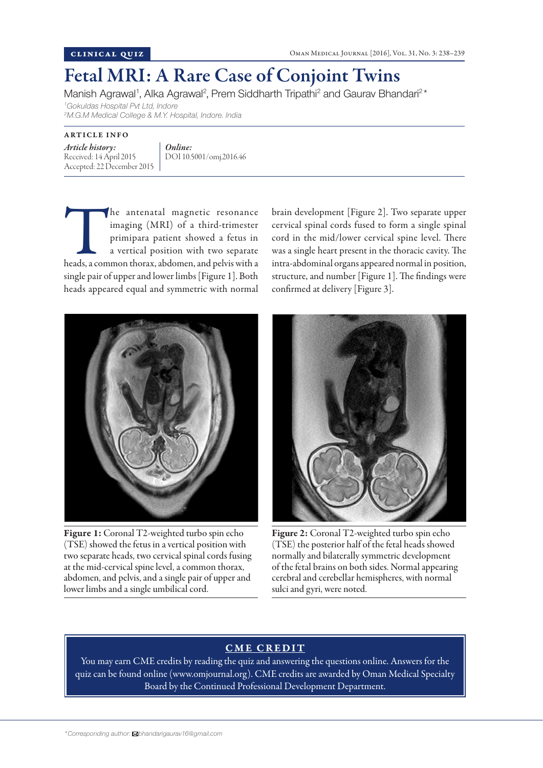## Fetal MRI: A Rare Case of Conjoint Twins

Manish Agrawal<sup>1</sup>, Alka Agrawal<sup>2</sup>, Prem Siddharth Tripathi<sup>2</sup> and Gaurav Bhandari<sup>2\*</sup>

*1 Gokuldas Hospital Pvt Ltd, Indore*

*2 M.G.M Medical College & M.Y. Hospital, Indore. India*

ARTICLE INFO

*Article history:*  Received: 14 April 2015 Accepted: 22 December 2015 *Online:* DOI 10.5001/omj.2016.46

The antenatal magnetic resonance<br>
imaging (MRI) of a third-trimester<br>
primipara patient showed a fetus in<br>
a vertical position with two separate<br>
heads, a common thorax, abdomen, and pelvis with a imaging (MRI) of a third-trimester primipara patient showed a fetus in a vertical position with two separate single pair of upper and lower limbs [Figure 1]. Both heads appeared equal and symmetric with normal



Figure 1: Coronal T2-weighted turbo spin echo (TSE) showed the fetus in a vertical position with two separate heads, two cervical spinal cords fusing at the mid-cervical spine level, a common thorax, abdomen, and pelvis, and a single pair of upper and lower limbs and a single umbilical cord.

brain development [Figure 2]. Two separate upper cervical spinal cords fused to form a single spinal cord in the mid/lower cervical spine level. There was a single heart present in the thoracic cavity. The intra-abdominal organs appeared normal in position, structure, and number [Figure 1]. The findings were confirmed at delivery [Figure 3].



Figure 2: Coronal T2-weighted turbo spin echo (TSE) the posterior half of the fetal heads showed normally and bilaterally symmetric development of the fetal brains on both sides. Normal appearing cerebral and cerebellar hemispheres, with normal sulci and gyri, were noted.

## CME CREDIT

You may earn CME credits by reading the quiz and answering the questions online. Answers for the quiz can be found online (www.omjournal.org). CME credits are awarded by Oman Medical Specialty Board by the Continued Professional Development Department.